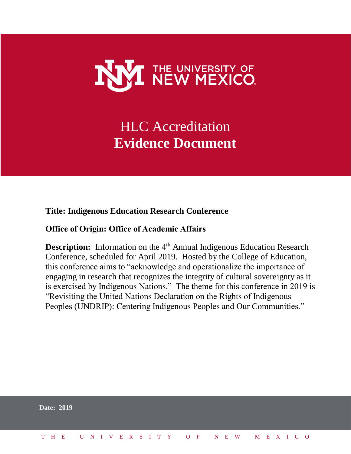

# HLC Accreditation **Evidence Document**

#### **Title: Indigenous Education Research Conference**

#### **Office of Origin: Office of Academic Affairs**

**Description:** Information on the 4<sup>th</sup> Annual Indigenous Education Research Conference, scheduled for April 2019. Hosted by the College of Education, this conference aims to "acknowledge and operationalize the importance of engaging in research that recognizes the integrity of cultural sovereignty as it is exercised by Indigenous Nations." The theme for this conference in 2019 is "Revisiting the United Nations Declaration on the Rights of Indigenous Peoples (UNDRIP): Centering Indigenous Peoples and Our Communities."